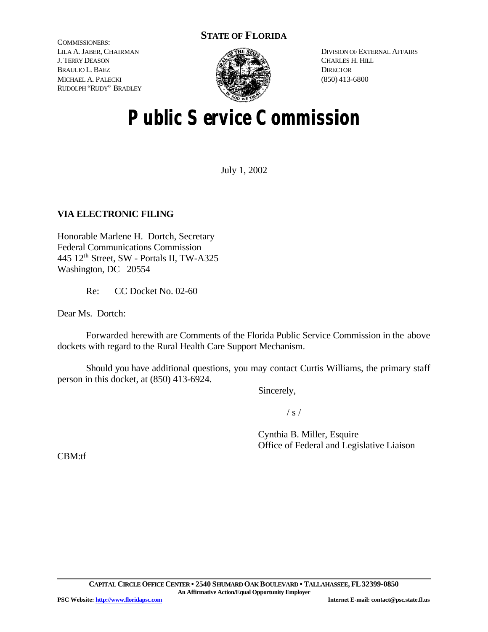# **STATE OF FLORIDA**

COMMISSIONERS: LILA A. JABER, CHAIRMAN J. TERRY DEASON BRAULIO L. BAEZ MICHAEL A. PALECKI RUDOLPH "RUDY" BRADLEY



DIVISION OF EXTERNAL AFFAIRS CHARLES H. HILL **DIRECTOR** (850) 413-6800

# **Public Service Commission**

July 1, 2002

# **VIA ELECTRONIC FILING**

Honorable Marlene H. Dortch, Secretary Federal Communications Commission 445 12th Street, SW - Portals II, TW-A325 Washington, DC 20554

Re: CC Docket No. 02-60

Dear Ms. Dortch:

Forwarded herewith are Comments of the Florida Public Service Commission in the above dockets with regard to the Rural Health Care Support Mechanism.

Should you have additional questions, you may contact Curtis Williams, the primary staff person in this docket, at (850) 413-6924.

Sincerely,

 $/ s /$ 

Cynthia B. Miller, Esquire Office of Federal and Legislative Liaison

CBM:tf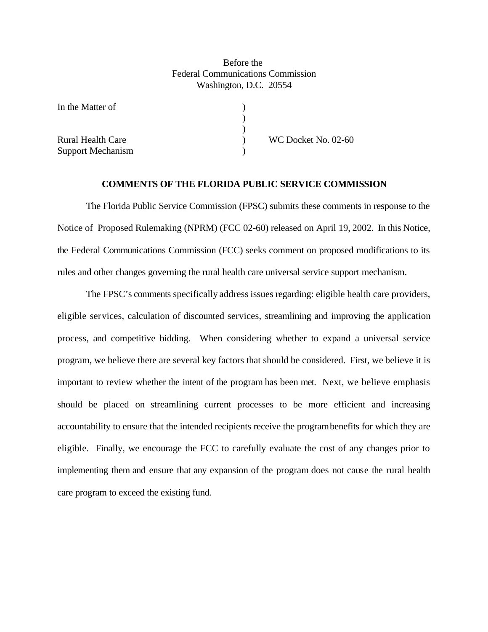## Before the Federal Communications Commission Washington, D.C. 20554

)  $\begin{pmatrix} 1 \\ 2 \end{pmatrix}$ 

In the Matter of

Support Mechanism )

Rural Health Care **No. 1988** WC Docket No. 02-60

## **COMMENTS OF THE FLORIDA PUBLIC SERVICE COMMISSION**

The Florida Public Service Commission (FPSC) submits these comments in response to the Notice of Proposed Rulemaking (NPRM) (FCC 02-60) released on April 19, 2002. In this Notice, the Federal Communications Commission (FCC) seeks comment on proposed modifications to its rules and other changes governing the rural health care universal service support mechanism.

The FPSC's comments specifically address issues regarding: eligible health care providers, eligible services, calculation of discounted services, streamlining and improving the application process, and competitive bidding. When considering whether to expand a universal service program, we believe there are several key factors that should be considered. First, we believe it is important to review whether the intent of the program has been met. Next, we believe emphasis should be placed on streamlining current processes to be more efficient and increasing accountability to ensure that the intended recipients receive the programbenefits for which they are eligible. Finally, we encourage the FCC to carefully evaluate the cost of any changes prior to implementing them and ensure that any expansion of the program does not cause the rural health care program to exceed the existing fund.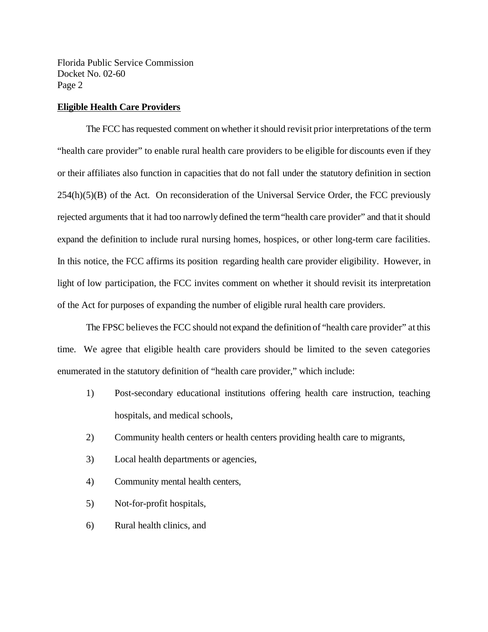## **Eligible Health Care Providers**

The FCC has requested comment on whether it should revisit prior interpretations of the term "health care provider" to enable rural health care providers to be eligible for discounts even if they or their affiliates also function in capacities that do not fall under the statutory definition in section  $254(h)(5)(B)$  of the Act. On reconsideration of the Universal Service Order, the FCC previously rejected arguments that it had too narrowly defined the term "health care provider" and that it should expand the definition to include rural nursing homes, hospices, or other long-term care facilities. In this notice, the FCC affirms its position regarding health care provider eligibility. However, in light of low participation, the FCC invites comment on whether it should revisit its interpretation of the Act for purposes of expanding the number of eligible rural health care providers.

The FPSC believes the FCC should not expand the definition of "health care provider" at this time. We agree that eligible health care providers should be limited to the seven categories enumerated in the statutory definition of "health care provider," which include:

- 1) Post-secondary educational institutions offering health care instruction, teaching hospitals, and medical schools,
- 2) Community health centers or health centers providing health care to migrants,
- 3) Local health departments or agencies,
- 4) Community mental health centers,
- 5) Not-for-profit hospitals,
- 6) Rural health clinics, and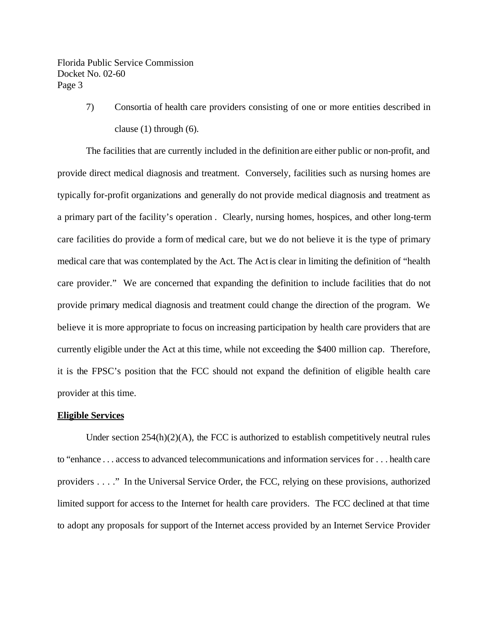> 7) Consortia of health care providers consisting of one or more entities described in clause (1) through (6).

The facilities that are currently included in the definition are either public or non-profit, and provide direct medical diagnosis and treatment. Conversely, facilities such as nursing homes are typically for-profit organizations and generally do not provide medical diagnosis and treatment as a primary part of the facility's operation . Clearly, nursing homes, hospices, and other long-term care facilities do provide a form of medical care, but we do not believe it is the type of primary medical care that was contemplated by the Act. The Act is clear in limiting the definition of "health care provider." We are concerned that expanding the definition to include facilities that do not provide primary medical diagnosis and treatment could change the direction of the program. We believe it is more appropriate to focus on increasing participation by health care providers that are currently eligible under the Act at this time, while not exceeding the \$400 million cap. Therefore, it is the FPSC's position that the FCC should not expand the definition of eligible health care provider at this time.

#### **Eligible Services**

Under section  $254(h)(2)(A)$ , the FCC is authorized to establish competitively neutral rules to "enhance . . . access to advanced telecommunications and information services for . . . health care providers . . . ." In the Universal Service Order, the FCC, relying on these provisions, authorized limited support for access to the Internet for health care providers. The FCC declined at that time to adopt any proposals for support of the Internet access provided by an Internet Service Provider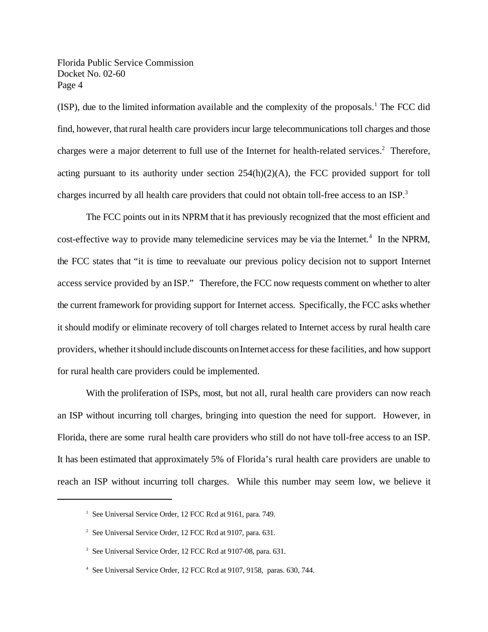$(ISP)$ , due to the limited information available and the complexity of the proposals.<sup>1</sup> The FCC did find, however, thatrural health care providers incur large telecommunications toll charges and those charges were a major deterrent to full use of the Internet for health-related services.<sup>2</sup> Therefore, acting pursuant to its authority under section 254(h)(2)(A), the FCC provided support for toll charges incurred by all health care providers that could not obtain toll-free access to an ISP.<sup>3</sup>

The FCC points out in its NPRM that it has previously recognized that the most efficient and cost-effective way to provide many telemedicine services may be via the Internet.<sup>4</sup> In the NPRM, the FCC states that "it is time to reevaluate our previous policy decision not to support Internet access service provided by an ISP." Therefore, the FCC now requests comment on whether to alter the current framework for providing support for Internet access. Specifically, the FCC asks whether it should modify or eliminate recovery of toll charges related to Internet access by rural health care providers, whether itshould include discounts onInternet access for these facilities, and how support for rural health care providers could be implemented.

With the proliferation of ISPs, most, but not all, rural health care providers can now reach an ISP without incurring toll charges, bringing into question the need for support. However, in Florida, there are some rural health care providers who still do not have toll-free access to an ISP. It has been estimated that approximately 5% of Florida's rural health care providers are unable to reach an ISP without incurring toll charges. While this number may seem low, we believe it

<sup>&</sup>lt;sup>1</sup> See Universal Service Order, 12 FCC Rcd at 9161, para. 749.

<sup>&</sup>lt;sup>2</sup> See Universal Service Order, 12 FCC Rcd at 9107, para. 631.

<sup>3</sup> See Universal Service Order, 12 FCC Rcd at 9107-08, para. 631.

<sup>4</sup> See Universal Service Order, 12 FCC Rcd at 9107, 9158, paras. 630, 744.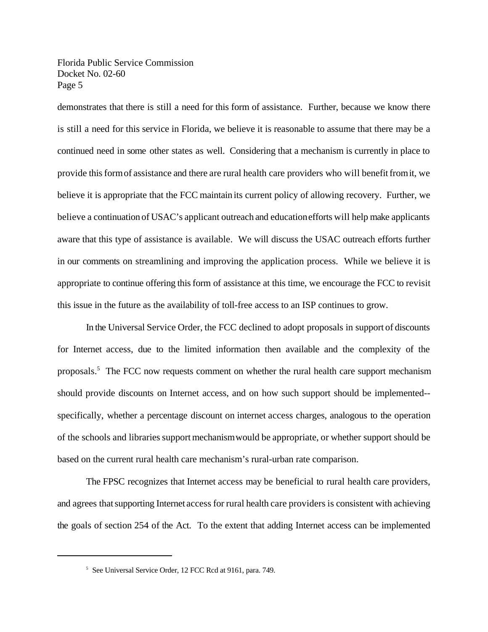demonstrates that there is still a need for this form of assistance. Further, because we know there is still a need for this service in Florida, we believe it is reasonable to assume that there may be a continued need in some other states as well. Considering that a mechanism is currently in place to provide thisformof assistance and there are rural health care providers who will benefitfromit, we believe it is appropriate that the FCC maintain its current policy of allowing recovery. Further, we believe a continuation of USAC's applicant outreach and educationefforts will help make applicants aware that this type of assistance is available. We will discuss the USAC outreach efforts further in our comments on streamlining and improving the application process. While we believe it is appropriate to continue offering this form of assistance at this time, we encourage the FCC to revisit this issue in the future as the availability of toll-free access to an ISP continues to grow.

 In the Universal Service Order, the FCC declined to adopt proposals in support of discounts for Internet access, due to the limited information then available and the complexity of the proposals.<sup>5</sup> The FCC now requests comment on whether the rural health care support mechanism should provide discounts on Internet access, and on how such support should be implemented- specifically, whether a percentage discount on internet access charges, analogous to the operation of the schools and libraries supportmechanismwould be appropriate, or whether support should be based on the current rural health care mechanism's rural-urban rate comparison.

The FPSC recognizes that Internet access may be beneficial to rural health care providers, and agrees that supporting Internet access for rural health care providers is consistent with achieving the goals of section 254 of the Act. To the extent that adding Internet access can be implemented

<sup>&</sup>lt;sup>5</sup> See Universal Service Order, 12 FCC Rcd at 9161, para. 749.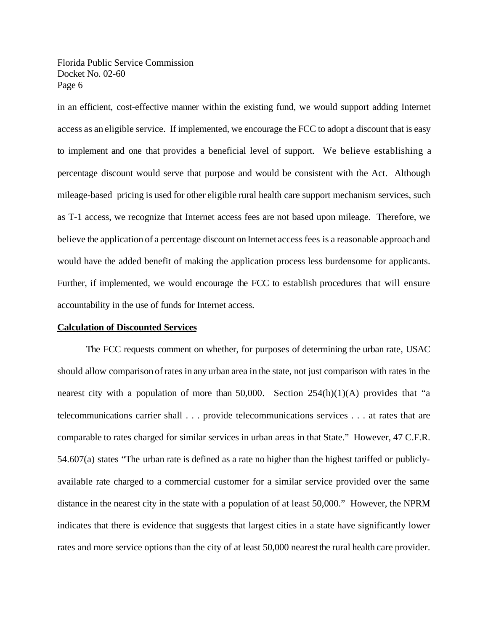in an efficient, cost-effective manner within the existing fund, we would support adding Internet access as an eligible service. If implemented, we encourage the FCC to adopt a discount that is easy to implement and one that provides a beneficial level of support. We believe establishing a percentage discount would serve that purpose and would be consistent with the Act. Although mileage-based pricing is used for other eligible rural health care support mechanism services, such as T-1 access, we recognize that Internet access fees are not based upon mileage. Therefore, we believe the application of a percentage discount on Internet access fees is a reasonable approach and would have the added benefit of making the application process less burdensome for applicants. Further, if implemented, we would encourage the FCC to establish procedures that will ensure accountability in the use of funds for Internet access.

#### **Calculation of Discounted Services**

The FCC requests comment on whether, for purposes of determining the urban rate, USAC should allow comparison ofrates in any urban area in the state, not just comparison with rates in the nearest city with a population of more than 50,000. Section  $254(h)(1)(A)$  provides that "a telecommunications carrier shall . . . provide telecommunications services . . . at rates that are comparable to rates charged for similar services in urban areas in that State." However, 47 C.F.R. 54.607(a) states "The urban rate is defined as a rate no higher than the highest tariffed or publiclyavailable rate charged to a commercial customer for a similar service provided over the same distance in the nearest city in the state with a population of at least 50,000." However, the NPRM indicates that there is evidence that suggests that largest cities in a state have significantly lower rates and more service options than the city of at least 50,000 nearest the rural health care provider.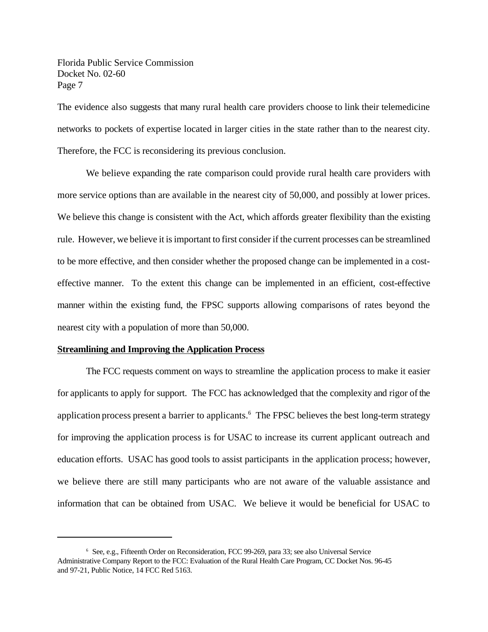The evidence also suggests that many rural health care providers choose to link their telemedicine networks to pockets of expertise located in larger cities in the state rather than to the nearest city. Therefore, the FCC is reconsidering its previous conclusion.

We believe expanding the rate comparison could provide rural health care providers with more service options than are available in the nearest city of 50,000, and possibly at lower prices. We believe this change is consistent with the Act, which affords greater flexibility than the existing rule. However, we believe it is important to first consider if the current processes can be streamlined to be more effective, and then consider whether the proposed change can be implemented in a costeffective manner. To the extent this change can be implemented in an efficient, cost-effective manner within the existing fund, the FPSC supports allowing comparisons of rates beyond the nearest city with a population of more than 50,000.

#### **Streamlining and Improving the Application Process**

The FCC requests comment on ways to streamline the application process to make it easier for applicants to apply for support. The FCC has acknowledged that the complexity and rigor ofthe application process present a barrier to applicants.<sup>6</sup> The FPSC believes the best long-term strategy for improving the application process is for USAC to increase its current applicant outreach and education efforts. USAC has good tools to assist participants in the application process; however, we believe there are still many participants who are not aware of the valuable assistance and information that can be obtained from USAC. We believe it would be beneficial for USAC to

<sup>&</sup>lt;sup>6</sup> See, e.g., Fifteenth Order on Reconsideration, FCC 99-269, para 33; see also Universal Service Administrative Company Report to the FCC: Evaluation of the Rural Health Care Program, CC Docket Nos. 96-45 and 97-21, Public Notice, 14 FCC Red 5163.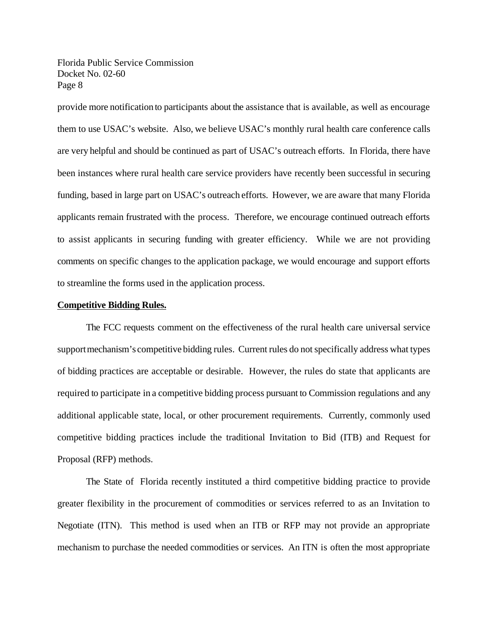provide more notification to participants about the assistance that is available, as well as encourage them to use USAC's website. Also, we believe USAC's monthly rural health care conference calls are very helpful and should be continued as part of USAC's outreach efforts. In Florida, there have been instances where rural health care service providers have recently been successful in securing funding, based in large part on USAC's outreach efforts. However, we are aware that many Florida applicants remain frustrated with the process. Therefore, we encourage continued outreach efforts to assist applicants in securing funding with greater efficiency. While we are not providing comments on specific changes to the application package, we would encourage and support efforts to streamline the forms used in the application process.

#### **Competitive Bidding Rules.**

The FCC requests comment on the effectiveness of the rural health care universal service supportmechanism's competitive bidding rules. Current rules do not specifically address what types of bidding practices are acceptable or desirable. However, the rules do state that applicants are required to participate in a competitive bidding process pursuant to Commission regulations and any additional applicable state, local, or other procurement requirements. Currently, commonly used competitive bidding practices include the traditional Invitation to Bid (ITB) and Request for Proposal (RFP) methods.

The State of Florida recently instituted a third competitive bidding practice to provide greater flexibility in the procurement of commodities or services referred to as an Invitation to Negotiate (ITN). This method is used when an ITB or RFP may not provide an appropriate mechanism to purchase the needed commodities or services. An ITN is often the most appropriate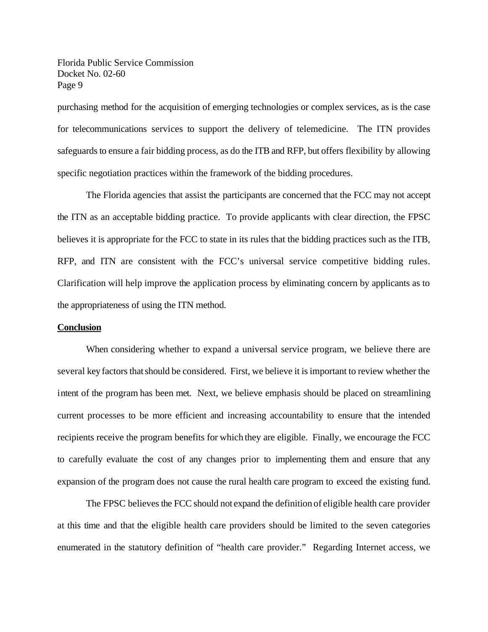purchasing method for the acquisition of emerging technologies or complex services, as is the case for telecommunications services to support the delivery of telemedicine. The ITN provides safeguards to ensure a fair bidding process, as do the ITB and RFP, but offers flexibility by allowing specific negotiation practices within the framework of the bidding procedures.

The Florida agencies that assist the participants are concerned that the FCC may not accept the ITN as an acceptable bidding practice. To provide applicants with clear direction, the FPSC believes it is appropriate for the FCC to state in its rules that the bidding practices such as the ITB, RFP, and ITN are consistent with the FCC's universal service competitive bidding rules. Clarification will help improve the application process by eliminating concern by applicants as to the appropriateness of using the ITN method.

#### **Conclusion**

When considering whether to expand a universal service program, we believe there are several key factors thatshould be considered. First, we believe it is important to review whether the intent of the program has been met. Next, we believe emphasis should be placed on streamlining current processes to be more efficient and increasing accountability to ensure that the intended recipients receive the program benefits for which they are eligible. Finally, we encourage the FCC to carefully evaluate the cost of any changes prior to implementing them and ensure that any expansion of the program does not cause the rural health care program to exceed the existing fund.

The FPSC believes the FCC should not expand the definition of eligible health care provider at this time and that the eligible health care providers should be limited to the seven categories enumerated in the statutory definition of "health care provider." Regarding Internet access, we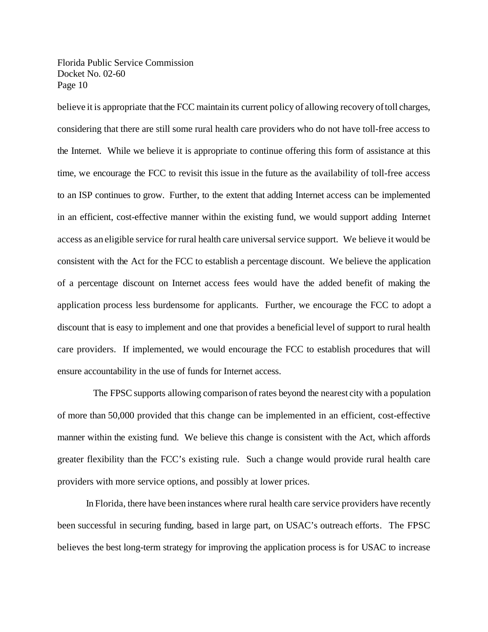believe it is appropriate that the FCC maintain its current policy of allowing recovery of toll charges, considering that there are still some rural health care providers who do not have toll-free access to the Internet. While we believe it is appropriate to continue offering this form of assistance at this time, we encourage the FCC to revisit this issue in the future as the availability of toll-free access to an ISP continues to grow. Further, to the extent that adding Internet access can be implemented in an efficient, cost-effective manner within the existing fund, we would support adding Internet access as an eligible service for rural health care universal service support. We believe it would be consistent with the Act for the FCC to establish a percentage discount. We believe the application of a percentage discount on Internet access fees would have the added benefit of making the application process less burdensome for applicants. Further, we encourage the FCC to adopt a discount that is easy to implement and one that provides a beneficial level of support to rural health care providers. If implemented, we would encourage the FCC to establish procedures that will ensure accountability in the use of funds for Internet access.

 The FPSC supports allowing comparison ofrates beyond the nearest city with a population of more than 50,000 provided that this change can be implemented in an efficient, cost-effective manner within the existing fund. We believe this change is consistent with the Act, which affords greater flexibility than the FCC's existing rule. Such a change would provide rural health care providers with more service options, and possibly at lower prices.

In Florida, there have been instances where rural health care service providers have recently been successful in securing funding, based in large part, on USAC's outreach efforts. The FPSC believes the best long-term strategy for improving the application process is for USAC to increase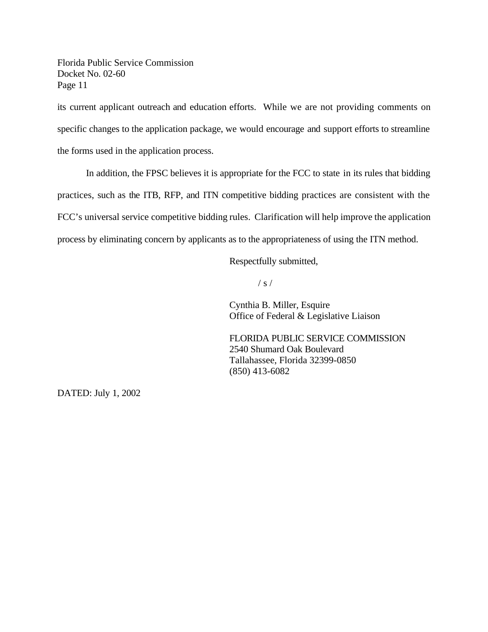its current applicant outreach and education efforts. While we are not providing comments on specific changes to the application package, we would encourage and support efforts to streamline the forms used in the application process.

In addition, the FPSC believes it is appropriate for the FCC to state in its rules that bidding practices, such as the ITB, RFP, and ITN competitive bidding practices are consistent with the FCC's universal service competitive bidding rules. Clarification will help improve the application process by eliminating concern by applicants as to the appropriateness of using the ITN method.

Respectfully submitted,

 $/ s /$ 

Cynthia B. Miller, Esquire Office of Federal & Legislative Liaison

FLORIDA PUBLIC SERVICE COMMISSION 2540 Shumard Oak Boulevard Tallahassee, Florida 32399-0850 (850) 413-6082

DATED: July 1, 2002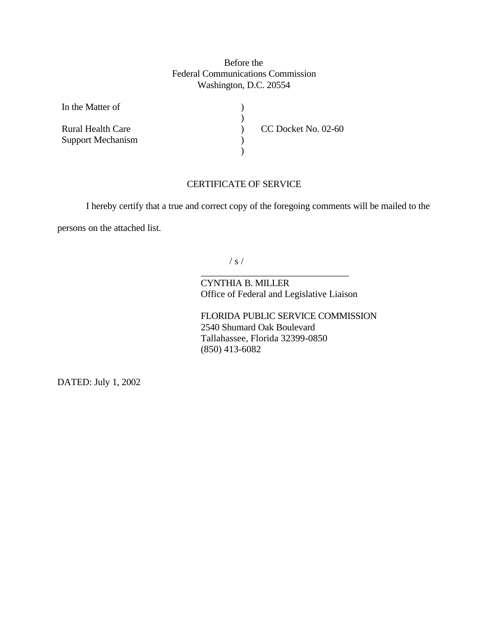## Before the Federal Communications Commission Washington, D.C. 20554

 $\lambda$ ) ) )  $\lambda$ 

In the Matter of

Rural Health Care Support Mechanism CC Docket No. 02-60

## CERTIFICATE OF SERVICE

I hereby certify that a true and correct copy of the foregoing comments will be mailed to the

persons on the attached list.

 $/ s /$ 

CYNTHIA B. MILLER Office of Federal and Legislative Liaison

\_\_\_\_\_\_\_\_\_\_\_\_\_\_\_\_\_\_\_\_\_\_\_\_\_\_\_\_\_\_\_

FLORIDA PUBLIC SERVICE COMMISSION 2540 Shumard Oak Boulevard Tallahassee, Florida 32399-0850 (850) 413-6082

DATED: July 1, 2002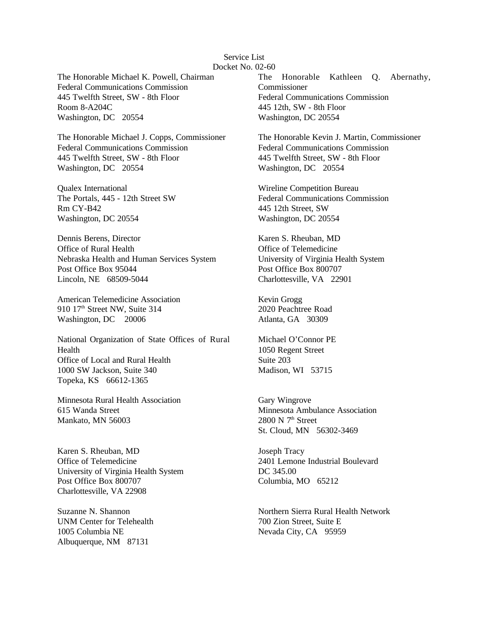#### Service List Docket No. 02-60

The Honorable Michael K. Powell, Chairman Federal Communications Commission 445 Twelfth Street, SW - 8th Floor Room 8-A204C Washington, DC 20554

The Honorable Michael J. Copps, Commissioner Federal Communications Commission 445 Twelfth Street, SW - 8th Floor Washington, DC 20554

Qualex International The Portals, 445 - 12th Street SW Rm CY-B42 Washington, DC 20554

Dennis Berens, Director Office of Rural Health Nebraska Health and Human Services System Post Office Box 95044 Lincoln, NE 68509-5044

American Telemedicine Association 910 17<sup>th</sup> Street NW, Suite 314 Washington, DC 20006

National Organization of State Offices of Rural Health Office of Local and Rural Health 1000 SW Jackson, Suite 340 Topeka, KS 66612-1365

Minnesota Rural Health Association 615 Wanda Street Mankato, MN 56003

Karen S. Rheuban, MD Office of Telemedicine University of Virginia Health System Post Office Box 800707 Charlottesville, VA 22908

Suzanne N. Shannon UNM Center for Telehealth 1005 Columbia NE Albuquerque, NM 87131

The Honorable Kathleen Q. Abernathy, Commissioner Federal Communications Commission 445 12th, SW - 8th Floor Washington, DC 20554

The Honorable Kevin J. Martin, Commissioner Federal Communications Commission 445 Twelfth Street, SW - 8th Floor Washington, DC 20554

Wireline Competition Bureau Federal Communications Commission 445 12th Street, SW Washington, DC 20554

Karen S. Rheuban, MD Office of Telemedicine University of Virginia Health System Post Office Box 800707 Charlottesville, VA 22901

Kevin Grogg 2020 Peachtree Road Atlanta, GA 30309

Michael O'Connor PE 1050 Regent Street Suite 203 Madison, WI 53715

Gary Wingrove Minnesota Ambulance Association  $2800$  N  $7<sup>th</sup>$  Street St. Cloud, MN 56302-3469

Joseph Tracy 2401 Lemone Industrial Boulevard DC 345.00 Columbia, MO 65212

Northern Sierra Rural Health Network 700 Zion Street, Suite E Nevada City, CA 95959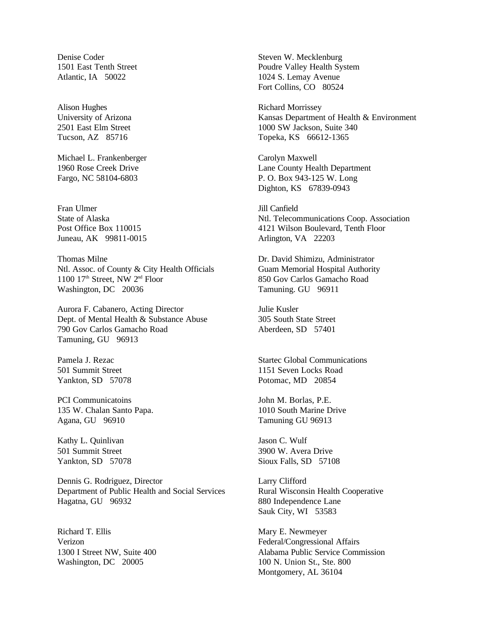Denise Coder 1501 East Tenth Street Atlantic, IA 50022

Alison Hughes University of Arizona 2501 East Elm Street Tucson, AZ 85716

Michael L. Frankenberger 1960 Rose Creek Drive Fargo, NC 58104-6803

Fran Ulmer State of Alaska Post Office Box 110015 Juneau, AK 99811-0015

Thomas Milne Ntl. Assoc. of County & City Health Officials 1100  $17<sup>th</sup>$  Street, NW  $2<sup>nd</sup>$  Floor Washington, DC 20036

Aurora F. Cabanero, Acting Director Dept. of Mental Health & Substance Abuse 790 Gov Carlos Gamacho Road Tamuning, GU 96913

Pamela J. Rezac 501 Summit Street Yankton, SD 57078

PCI Communicatoins 135 W. Chalan Santo Papa. Agana, GU 96910

Kathy L. Quinlivan 501 Summit Street Yankton, SD 57078

Dennis G. Rodriguez, Director Department of Public Health and Social Services Hagatna, GU 96932

Richard T. Ellis Verizon 1300 I Street NW, Suite 400 Washington, DC 20005

Steven W. Mecklenburg Poudre Valley Health System 1024 S. Lemay Avenue Fort Collins, CO 80524

Richard Morrissey Kansas Department of Health & Environment 1000 SW Jackson, Suite 340 Topeka, KS 66612-1365

Carolyn Maxwell Lane County Health Department P. O. Box 943-125 W. Long Dighton, KS 67839-0943

Jill Canfield Ntl. Telecommunications Coop. Association 4121 Wilson Boulevard, Tenth Floor Arlington, VA 22203

Dr. David Shimizu, Administrator Guam Memorial Hospital Authority 850 Gov Carlos Gamacho Road Tamuning. GU 96911

Julie Kusler 305 South State Street Aberdeen, SD 57401

Startec Global Communications 1151 Seven Locks Road Potomac, MD 20854

John M. Borlas, P.E. 1010 South Marine Drive Tamuning GU 96913

Jason C. Wulf 3900 W. Avera Drive Sioux Falls, SD 57108

Larry Clifford Rural Wisconsin Health Cooperative 880 Independence Lane Sauk City, WI 53583

Mary E. Newmeyer Federal/Congressional Affairs Alabama Public Service Commission 100 N. Union St., Ste. 800 Montgomery, AL 36104